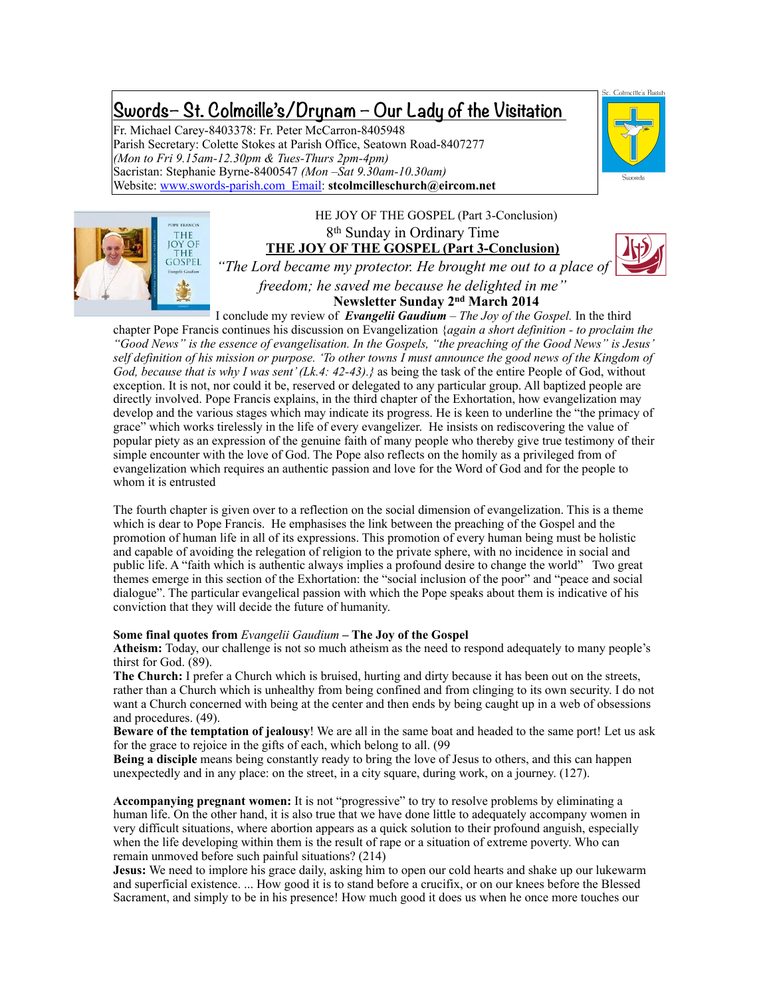# **Swords– St. Colmcille's/Drynam – Our Lady of the Visitation**

Fr. Michael Carey-8403378: Fr. Peter McCarron-8405948 Parish Secretary: Colette Stokes at Parish Office, Seatown Road-8407277 *(Mon to Fri 9.15am-12.30pm & Tues-Thurs 2pm-4pm)* Sacristan: Stephanie Byrne-8400547 *(Mon –Sat 9.30am-10.30am)* Website: [www.swords-parish.com Email](http://www.swords-parish.com%20%20email): **stcolmcilleschurch@eircom.net**





HE JOY OF THE GOSPEL (Part 3-Conclusion) 8th Sunday in Ordinary Time **THE JOY OF THE GOSPEL (Part 3-Conclusion)**



*"The Lord became my protector. He brought me out to a place of freedom; he saved me because he delighted in me"* **Newsletter Sunday 2nd March 2014**

I conclude my review of *Evangelii Gaudium – The Joy of the Gospel.* In the third chapter Pope Francis continues his discussion on Evangelization {*again a short definition - to proclaim the "Good News" is the essence of evangelisation. In the Gospels, "the preaching of the Good News" is Jesus' self definition of his mission or purpose. 'To other towns I must announce the good news of the Kingdom of God, because that is why I was sent' (Lk.4: 42-43).}* as being the task of the entire People of God, without exception. It is not, nor could it be, reserved or delegated to any particular group. All baptized people are directly involved. Pope Francis explains, in the third chapter of the Exhortation, how evangelization may develop and the various stages which may indicate its progress. He is keen to underline the "the primacy of grace" which works tirelessly in the life of every evangelizer. He insists on rediscovering the value of popular piety as an expression of the genuine faith of many people who thereby give true testimony of their simple encounter with the love of God. The Pope also reflects on the homily as a privileged from of evangelization which requires an authentic passion and love for the Word of God and for the people to whom it is entrusted

The fourth chapter is given over to a reflection on the social dimension of evangelization. This is a theme which is dear to Pope Francis. He emphasises the link between the preaching of the Gospel and the promotion of human life in all of its expressions. This promotion of every human being must be holistic and capable of avoiding the relegation of religion to the private sphere, with no incidence in social and public life. A "faith which is authentic always implies a profound desire to change the world" Two great themes emerge in this section of the Exhortation: the "social inclusion of the poor" and "peace and social dialogue". The particular evangelical passion with which the Pope speaks about them is indicative of his conviction that they will decide the future of humanity.

#### **Some final quotes from** *Evangelii Gaudium* **– The Joy of the Gospel**

**Atheism:** Today, our challenge is not so much atheism as the need to respond adequately to many people's thirst for God. (89).

**The Church:** I prefer a Church which is bruised, hurting and dirty because it has been out on the streets, rather than a Church which is unhealthy from being confined and from clinging to its own security. I do not want a Church concerned with being at the center and then ends by being caught up in a web of obsessions and procedures. (49).

**Beware of the temptation of jealousy**! We are all in the same boat and headed to the same port! Let us ask for the grace to rejoice in the gifts of each, which belong to all. (99

**Being a disciple** means being constantly ready to bring the love of Jesus to others, and this can happen unexpectedly and in any place: on the street, in a city square, during work, on a journey. (127).

**Accompanying pregnant women:** It is not "progressive" to try to resolve problems by eliminating a human life. On the other hand, it is also true that we have done little to adequately accompany women in very difficult situations, where abortion appears as a quick solution to their profound anguish, especially when the life developing within them is the result of rape or a situation of extreme poverty. Who can remain unmoved before such painful situations? (214)

**Jesus:** We need to implore his grace daily, asking him to open our cold hearts and shake up our lukewarm and superficial existence. ... How good it is to stand before a crucifix, or on our knees before the Blessed Sacrament, and simply to be in his presence! How much good it does us when he once more touches our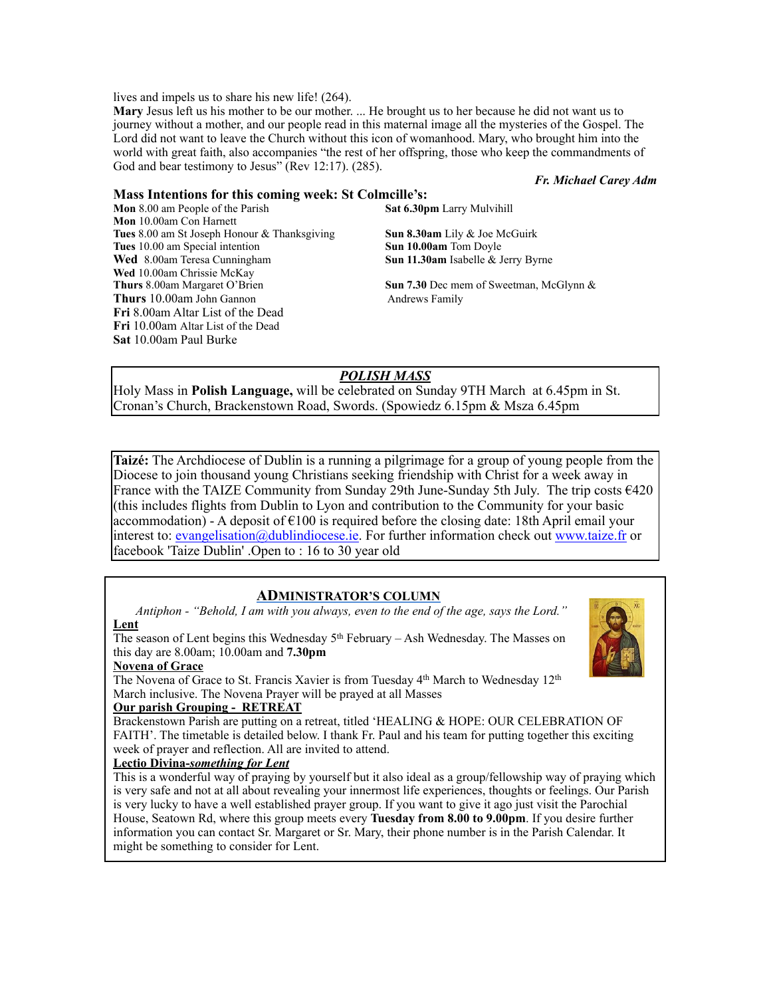lives and impels us to share his new life! (264).

**Mary** Jesus left us his mother to be our mother. ... He brought us to her because he did not want us to journey without a mother, and our people read in this maternal image all the mysteries of the Gospel. The Lord did not want to leave the Church without this icon of womanhood. Mary, who brought him into the world with great faith, also accompanies "the rest of her offspring, those who keep the commandments of God and bear testimony to Jesus" (Rev 12:17). (285).

#### *Fr. Michael Carey Adm*

#### **Mass Intentions for this coming week: St Colmcille's:**

**Mon** 8.00 am People of the Parish **Sat 6.30pm** Larry Mulvihill **Mon** 10.00am Con Harnett **Tues** 8.00 am St Joseph Honour & Thanksgiving **Sun 8.30am** Lily & Joe McGuirk **Tues** 10.00 am Special intention **Sun 10.00am** Tom Doyle **Wed** 8.00am Teresa Cunningham **Sun 11.30am** Isabelle & Jerry Byrne **Wed** 10.00am Chrissie McKay **Thurs** 8.00am Margaret O'Brien **Sun 7.30** Dec mem of Sweetman, McGlynn & **Thurs** 10.00am John Gannon Andrews Family **Fri** 8.00am Altar List of the Dead **Fri** 10.00am Altar List of the Dead **Sat** 10.00am Paul Burke

# *POLISH MASS*

Holy Mass in **Polish Language,** will be celebrated on Sunday 9TH March at 6.45pm in St. Cronan's Church, Brackenstown Road, Swords. (Spowiedz 6.15pm & Msza 6.45pm

**Taizé:** The Archdiocese of Dublin is a running a pilgrimage for a group of young people from the Diocese to join thousand young Christians seeking friendship with Christ for a week away in France with the TAIZE Community from Sunday 29th June-Sunday 5th July. The trip costs €420 (this includes flights from Dublin to Lyon and contribution to the Community for your basic accommodation) - A deposit of  $\epsilon$ 100 is required before the closing date: 18th April email your interest to: evangelisation@dublindiocese.ie. For further information check out www.taize.fr or facebook 'Taize Dublin' .Open to : 16 to 30 year old

### **ADMINISTRATOR'S COLUMN**

 *Antiphon - "Behold, I am with you always, even to the end of the age, says the Lord."*  **Lent** 

The season of Lent begins this Wednesday  $5<sup>th</sup>$  February – Ash Wednesday. The Masses on this day are 8.00am; 10.00am and **7.30pm** 

#### **Novena of Grace**

The Novena of Grace to St. Francis Xavier is from Tuesday  $4<sup>th</sup>$  March to Wednesday  $12<sup>th</sup>$ March inclusive. The Novena Prayer will be prayed at all Masses

#### **Our parish Grouping - RETREAT**

Brackenstown Parish are putting on a retreat, titled 'HEALING & HOPE: OUR CELEBRATION OF FAITH'. The timetable is detailed below. I thank Fr. Paul and his team for putting together this exciting week of prayer and reflection. All are invited to attend.

#### **Lectio Divina-***something for Lent*

This is a wonderful way of praying by yourself but it also ideal as a group/fellowship way of praying which is very safe and not at all about revealing your innermost life experiences, thoughts or feelings. Our Parish is very lucky to have a well established prayer group. If you want to give it ago just visit the Parochial House, Seatown Rd, where this group meets every **Tuesday from 8.00 to 9.00pm**. If you desire further information you can contact Sr. Margaret or Sr. Mary, their phone number is in the Parish Calendar. It might be something to consider for Lent.

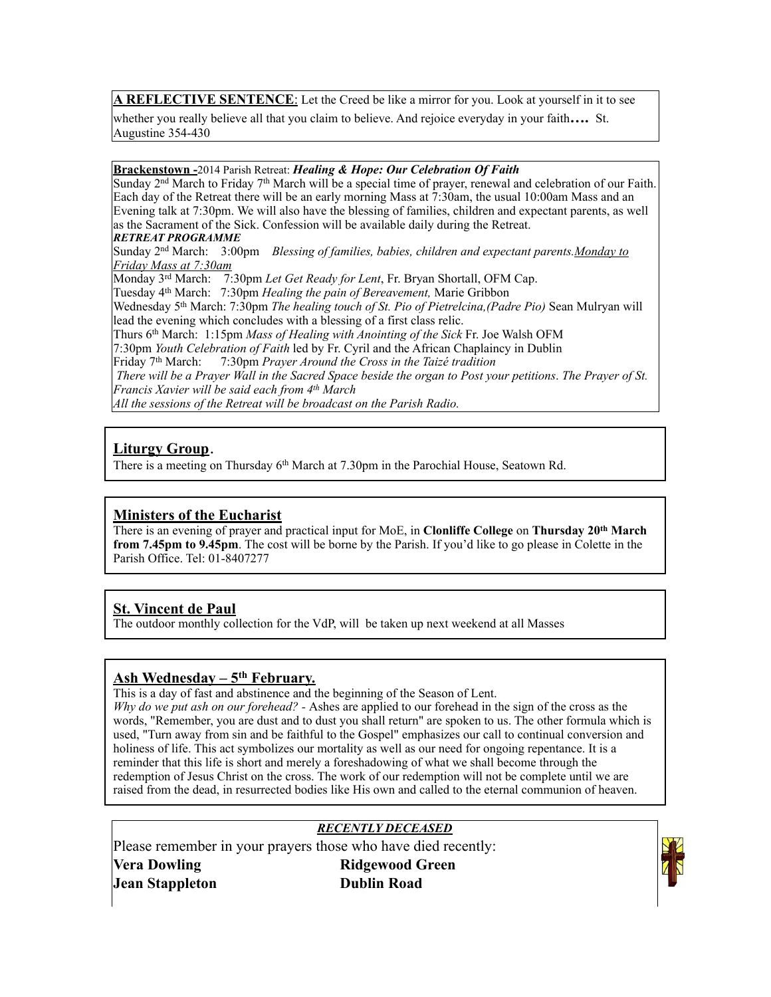**A REFLECTIVE SENTENCE**: Let the Creed be like a mirror for you. Look at yourself in it to see

whether you really believe all that you claim to believe. And rejoice everyday in your faith**….** St. Augustine 354-430

#### **Brackenstown -**2014 Parish Retreat: *Healing & Hope: Our Celebration Of Faith*

Sunday  $2<sup>nd</sup>$  March to Friday 7<sup>th</sup> March will be a special time of prayer, renewal and celebration of our Faith. Each day of the Retreat there will be an early morning Mass at 7:30am, the usual 10:00am Mass and an Evening talk at 7:30pm. We will also have the blessing of families, children and expectant parents, as well as the Sacrament of the Sick. Confession will be available daily during the Retreat.

#### *RETREAT PROGRAMME*

Sunday 2nd March: 3:00pm *Blessing of families, babies, children and expectant parents.Monday to Friday Mass at 7:30am*

Monday 3rd March: 7:30pm *Let Get Ready for Lent*, Fr. Bryan Shortall, OFM Cap. Tuesday 4th March: 7:30pm *Healing the pain of Bereavement,* Marie Gribbon Wednesday 5th March: 7:30pm *The healing touch of St. Pio of Pietrelcina,(Padre Pio)* Sean Mulryan will lead the evening which concludes with a blessing of a first class relic. Thurs 6th March: 1:15pm *Mass of Healing with Anointing of the Sick* Fr. Joe Walsh OFM 7:30pm *Youth Celebration of Faith* led by Fr. Cyril and the African Chaplaincy in Dublin Friday 7th March: 7:30pm *Prayer Around the Cross in the Taizé tradition There will be a Prayer Wall in the Sacred Space beside the organ to Post your petitions*. *The Prayer of St. Francis Xavier will be said each from 4th March All the sessions of the Retreat will be broadcast on the Parish Radio.*

# **Liturgy Group**.

There is a meeting on Thursday 6<sup>th</sup> March at 7.30pm in the Parochial House, Seatown Rd.

# **Ministers of the Eucharist**

There is an evening of prayer and practical input for MoE, in **Clonliffe College** on **Thursday 20th March from 7.45pm to 9.45pm**. The cost will be borne by the Parish. If you'd like to go please in Colette in the Parish Office. Tel: 01-8407277

# **St. Vincent de Paul**

The outdoor monthly collection for the VdP, will be taken up next weekend at all Masses

# **Ash Wednesday – 5th February.**

This is a day of fast and abstinence and the beginning of the Season of Lent.

*Why do we put ash on our forehead? -* Ashes are applied to our forehead in the sign of the cross as the words, "Remember, you are dust and to dust you shall return" are spoken to us. The other formula which is used, "Turn away from sin and be faithful to the Gospel" emphasizes our call to continual conversion and holiness of life. This act symbolizes our mortality as well as our need for ongoing repentance. It is a reminder that this life is short and merely a foreshadowing of what we shall become through the redemption of Jesus Christ on the cross. The work of our redemption will not be complete until we are raised from the dead, in resurrected bodies like His own and called to the eternal communion of heaven.

## *RECENTLY DECEASED*

Please remember in your prayers those who have died recently: **Vera Dowling Ridgewood Green** 

**Jean Stappleton Dublin Road**